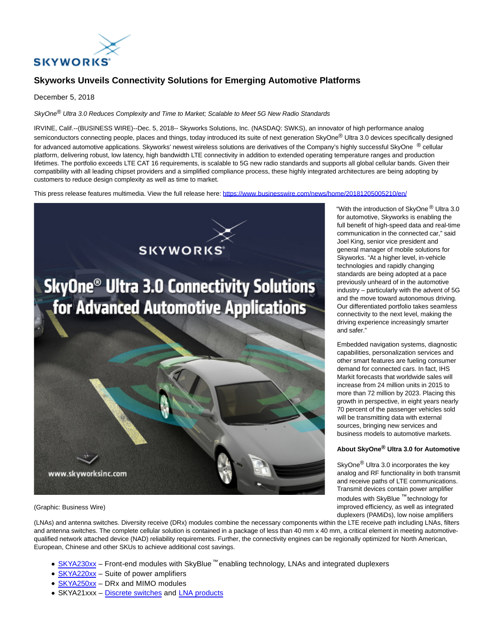

## **Skyworks Unveils Connectivity Solutions for Emerging Automotive Platforms**

December 5, 2018

SkyOne® Ultra 3.0 Reduces Complexity and Time to Market: Scalable to Meet 5G New Radio Standards

IRVINE, Calif.--(BUSINESS WIRE)--Dec. 5, 2018-- Skyworks Solutions, Inc. (NASDAQ: SWKS), an innovator of high performance analog semiconductors connecting people, places and things, today introduced its suite of next generation SkyOne® Ultra 3.0 devices specifically designed for advanced automotive applications. Skyworks' newest wireless solutions are derivatives of the Company's highly successful SkyOne ® cellular platform, delivering robust, low latency, high bandwidth LTE connectivity in addition to extended operating temperature ranges and production lifetimes. The portfolio exceeds LTE CAT 16 requirements, is scalable to 5G new radio standards and supports all global cellular bands. Given their compatibility with all leading chipset providers and a simplified compliance process, these highly integrated architectures are being adopting by customers to reduce design complexity as well as time to market.

This press release features multimedia. View the full release here:<https://www.businesswire.com/news/home/20181205005210/en/>



(Graphic: Business Wire)

(LNAs) and antenna switches. Diversity receive (DRx) modules combine the necessary components within the LTE receive path including LNAs, filters and antenna switches. The complete cellular solution is contained in a package of less than 40 mm x 40 mm, a critical element in meeting automotivequalified network attached device (NAD) reliability requirements. Further, the connectivity engines can be regionally optimized for North American, European, Chinese and other SKUs to achieve additional cost savings.

- $SKYA230xx$  Front-end modules with SkyBlue <sup>™</sup> enabling technology, LNAs and integrated duplexers
- [SKYA220xx –](https://cts.businesswire.com/ct/CT?id=smartlink&url=http%3A%2F%2Fwww.skyworksinc.com%2FProducts%2F1181%2FAmplifiers_for_Telematics_Cellular_Applications_&esheet=51909498&newsitemid=20181205005210&lan=en-US&anchor=SKYA220xx&index=2&md5=84a53c9c749e67fda9b37d9307889b7b) Suite of power amplifiers
- SKYA250xx DRx and MIMO modules
- SKYA21xxx – [Discrete switches a](https://cts.businesswire.com/ct/CT?id=smartlink&url=http%3A%2F%2Fwww.skyworksinc.com%2FProducts%2F79%2FSPDT_%28SP2T%29_RF_Switches&esheet=51909498&newsitemid=20181205005210&lan=en-US&anchor=Discrete+switches&index=4&md5=22b546521db1e3d56dbef125bbe8ab2c)nd [LNA products](https://cts.businesswire.com/ct/CT?id=smartlink&url=http%3A%2F%2Fwww.skyworksinc.com%2FProducts%2F464%2FLow_Noise_Amplifiers_and_Low_Noise_Transistors&esheet=51909498&newsitemid=20181205005210&lan=en-US&anchor=LNA+products&index=5&md5=18baedab3a6ee62dbbfcc12b9e236203)

"With the introduction of SkyOne ® Ultra 3.0 for automotive, Skyworks is enabling the full benefit of high-speed data and real-time communication in the connected car," said Joel King, senior vice president and general manager of mobile solutions for Skyworks. "At a higher level, in-vehicle technologies and rapidly changing standards are being adopted at a pace previously unheard of in the automotive industry – particularly with the advent of 5G and the move toward autonomous driving. Our differentiated portfolio takes seamless connectivity to the next level, making the driving experience increasingly smarter and safer."

Embedded navigation systems, diagnostic capabilities, personalization services and other smart features are fueling consumer demand for connected cars. In fact, IHS Markit forecasts that worldwide sales will increase from 24 million units in 2015 to more than 72 million by 2023. Placing this growth in perspective, in eight years nearly 70 percent of the passenger vehicles sold will be transmitting data with external sources, bringing new services and business models to automotive markets.

## **About SkyOne® Ultra 3.0 for Automotive**

SkyOne® Ultra 3.0 incorporates the key analog and RF functionality in both transmit and receive paths of LTE communications. Transmit devices contain power amplifier modules with SkyBlue ™ technology for improved efficiency, as well as integrated duplexers (PAMiDs), low noise amplifiers